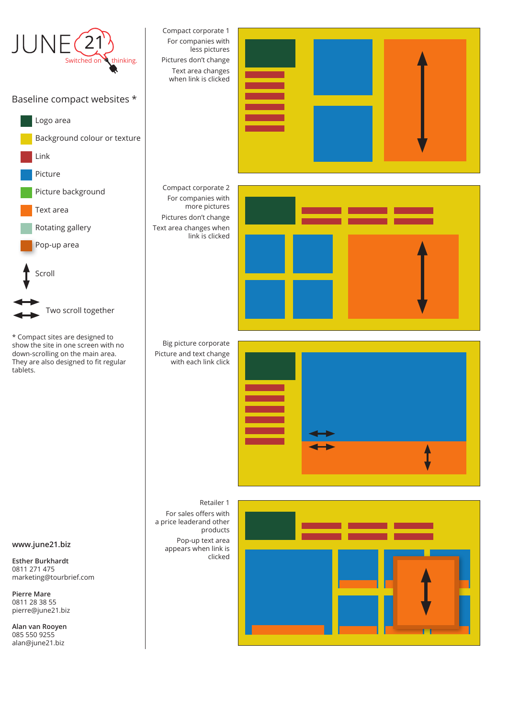